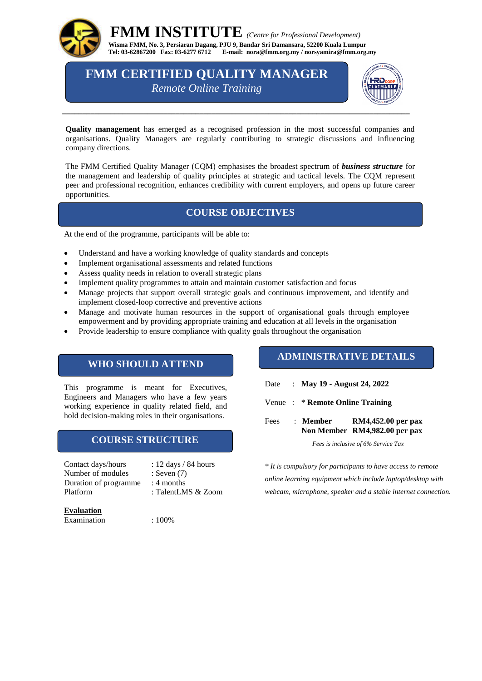

 **FMM INSTITUTE** *(Centre for Professional Development)*  **Wisma FMM, No. 3, Persiaran Dagang, PJU 9, Bandar Sri Damansara, 52200 Kuala Lumpur Tel: 03-62867200 Fax: 03-6277 6712 E-mail: [nora@fmm.org.my](mailto:nora@fmm.org.my) / norsyamira@fmm.org.my**

**FMM CERTIFIED QUALITY MANAGER** *Remote Online Training*



**Quality management** has emerged as a recognised profession in the most successful companies and organisations. Quality Managers are regularly contributing to strategic discussions and influencing company directions.

The FMM Certified Quality Manager (CQM) emphasises the broadest spectrum of *business structure* for the management and leadership of quality principles at strategic and tactical levels. The CQM represent peer and professional recognition, enhances credibility with current employers, and opens up future career opportunities.

### **COURSE OBJECTIVES**

At the end of the programme, participants will be able to:

- Understand and have a working knowledge of quality standards and concepts
- Implement organisational assessments and related functions
- Assess quality needs in relation to overall strategic plans
- Implement quality programmes to attain and maintain customer satisfaction and focus
- Manage projects that support overall strategic goals and continuous improvement, and identify and implement closed-loop corrective and preventive actions
- Manage and motivate human resources in the support of organisational goals through employee empowerment and by providing appropriate training and education at all levels in the organisation
- Provide leadership to ensure compliance with quality goals throughout the organisation

### **WHO SHOULD ATTEND**

This programme is meant for Executives, Engineers and Managers who have a few years working experience in quality related field, and hold decision-making roles in their organisations.

### **COURSE STRUCTURE**

Contact days/hours : 12 days / 84 hours Number of modules : Seven (7) Duration of programme : 4 months Platform : TalentLMS & Zoom

- 
- 
- -

#### **Evaluation**

Examination : 100%

### **ADMINISTRATIVE DETAILS**

- Date : **May 19 - August 24, 2022**
- Venue : \* **Remote Online Training**

Fees : **Member RM4,452.00 per pax Non Member RM4,982.00 per pax**

*Fees is inclusive of 6% Service Tax*

*\* It is compulsory for participants to have access to remote online learning equipment which include laptop/desktop with webcam, microphone, speaker and a stable internet connection.*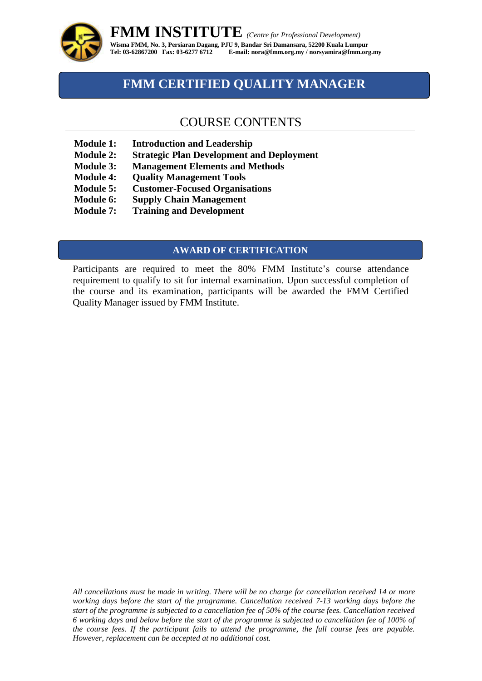

## **FMM CERTIFIED QUALITY MANAGER**

### COURSE CONTENTS

- **Module 1: Introduction and Leadership**
- **Module 2: Strategic Plan Development and Deployment**
- **Module 3: Management Elements and Methods**
- **Module 4: Quality Management Tools**
- **Module 5: Customer-Focused Organisations**
- **Module 6: Supply Chain Management**
- **Module 7: Training and Development**

### **AWARD OF CERTIFICATION**

Participants are required to meet the 80% FMM Institute's course attendance requirement to qualify to sit for internal examination. Upon successful completion of the course and its examination, participants will be awarded the FMM Certified Quality Manager issued by FMM Institute.

*All cancellations must be made in writing. There will be no charge for cancellation received 14 or more working days before the start of the programme. Cancellation received 7-13 working days before the start of the programme is subjected to a cancellation fee of 50% of the course fees. Cancellation received 6 working days and below before the start of the programme is subjected to cancellation fee of 100% of the course fees. If the participant fails to attend the programme, the full course fees are payable. However, replacement can be accepted at no additional cost.*